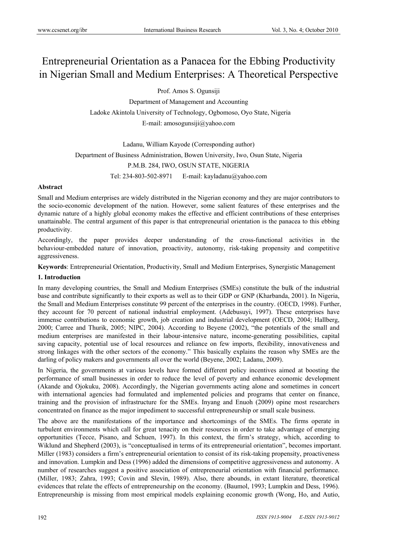# Entrepreneurial Orientation as a Panacea for the Ebbing Productivity in Nigerian Small and Medium Enterprises: A Theoretical Perspective

Prof. Amos S. Ogunsiji

Department of Management and Accounting Ladoke Akintola University of Technology, Ogbomoso, Oyo State, Nigeria E-mail: amosogunsiji@yahoo.com

Ladanu, William Kayode (Corresponding author) Department of Business Administration, Bowen University, Iwo, Osun State, Nigeria P.M.B. 284, IWO, OSUN STATE, NIGERIA Tel: 234-803-502-8971 E-mail: kayladanu@yahoo.com

## **Abstract**

Small and Medium enterprises are widely distributed in the Nigerian economy and they are major contributors to the socio-economic development of the nation. However, some salient features of these enterprises and the dynamic nature of a highly global economy makes the effective and efficient contributions of these enterprises unattainable. The central argument of this paper is that entrepreneurial orientation is the panacea to this ebbing productivity.

Accordingly, the paper provides deeper understanding of the cross-functional activities in the behaviour-embedded nature of innovation, proactivity, autonomy, risk-taking propensity and competitive aggressiveness.

**Keywords**: Entrepreneurial Orientation, Productivity, Small and Medium Enterprises, Synergistic Management

## **1. Introduction**

In many developing countries, the Small and Medium Enterprises (SMEs) constitute the bulk of the industrial base and contribute significantly to their exports as well as to their GDP or GNP (Kharbanda, 2001). In Nigeria, the Small and Medium Enterprises constitute 99 percent of the enterprises in the country. (OECD, 1998). Further, they account for 70 percent of national industrial employment. (Adebusuyi, 1997). These enterprises have immense contributions to economic growth, job creation and industrial development (OECD, 2004; Hallberg, 2000; Carree and Thurik, 2005; NIPC, 2004). According to Beyene (2002), "the potentials of the small and medium enterprises are manifested in their labour-intensive nature, income-generating possibilities, capital saving capacity, potential use of local resources and reliance on few imports, flexibility, innovativeness and strong linkages with the other sectors of the economy." This basically explains the reason why SMEs are the darling of policy makers and governments all over the world (Beyene, 2002; Ladanu, 2009).

In Nigeria, the governments at various levels have formed different policy incentives aimed at boosting the performance of small businesses in order to reduce the level of poverty and enhance economic development (Akande and Ojokuku, 2008). Accordingly, the Nigerian governments acting alone and sometimes in concert with international agencies had formulated and implemented policies and programs that center on finance, training and the provision of infrastructure for the SMEs. Inyang and Enuoh (2009) opine most researchers concentrated on finance as the major impediment to successful entrepreneurship or small scale business.

The above are the manifestations of the importance and shortcomings of the SMEs. The firms operate in turbulent environments which call for great tenacity on their resources in order to take advantage of emerging opportunities (Tecce, Pisano, and Schuen, 1997). In this context, the firm's strategy, which, according to Wiklund and Shepherd (2003), is "conceptualised in terms of its entrepreneurial orientation", becomes important. Miller (1983) considers a firm's entrepreneurial orientation to consist of its risk-taking propensity, proactiveness and innovation. Lumpkin and Dess (1996) added the dimensions of competitive aggressiveness and autonomy. A number of researches suggest a positive association of entrepreneurial orientation with financial performance. (Miller, 1983; Zahra, 1993; Covin and Slevin, 1989). Also, there abounds, in extant literature, theoretical evidences that relate the effects of entrepreneurship on the economy. (Baumol, 1993; Lumpkin and Dess, 1996). Entrepreneurship is missing from most empirical models explaining economic growth (Wong, Ho, and Autio,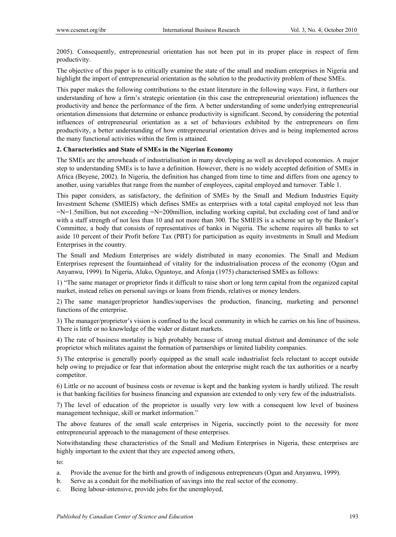2005). Consequently, entrepreneurial orientation has not been put in its proper place in respect of firm productivity.

The objective of this paper is to critically examine the state of the small and medium enterprises in Nigeria and highlight the import of entrepreneurial orientation as the solution to the productivity problem of these SMEs.

This paper makes the following contributions to the extant literature in the following ways. First, it furthers our understanding of how a firm's strategic orientation (in this case the entrepreneurial orientation) influences the productivity and hence the performance of the firm. A better understanding of some underlying entrepreneurial orientation dimensions that determine or enhance productivity is significant. Second, by considering the potential influences of entrepreneurial orientation as a set of behaviours exhibited by the entrepreneurs on firm productivity, a better understanding of how entrepreneurial orientation drives and is being implemented across the many functional activities within the firm is attained.

## **2. Characteristics and State of SMEs in the Nigerian Economy**

The SMEs are the arrowheads of industrialisation in many developing as well as developed economies. A major step to understanding SMEs is to have a definition. However, there is no widely accepted definition of SMEs in Africa (Beyene, 2002). In Nigeria, the definition has changed from time to time and differs from one agency to another, using variables that range from the number of employees, capital employed and turnover. Table 1.

This paper considers, as satisfactory, the definition of SMEs by the Small and Medium Industries Equity Investment Scheme (SMIEIS) which defines SMEs as enterprises with a total capital employed not less than =N=1.5million, but not exceeding =N=200million, including working capital, but excluding cost of land and/or with a staff strength of not less than 10 and not more than 300. The SMIEIS is a scheme set up by the Banker's Committee, a body that consists of representatives of banks in Nigeria. The scheme requires all banks to set aside 10 percent of their Profit before Tax (PBT) for participation as equity investments in Small and Medium Enterprises in the country.

The Small and Medium Enterprises are widely distributed in many economies. The Small and Medium Enterprises represent the fountainhead of vitality for the industrialisation process of the economy (Ogun and Anyanwu, 1999). In Nigeria, Aluko, Oguntoye, and Afonja (1975) characterised SMEs as follows:

1) "The same manager or proprietor finds it difficult to raise short or long term capital from the organized capital market, instead relies on personal savings or loans from friends, relatives or money lenders.

2) The same manager/proprietor handles/supervises the production, financing, marketing and personnel functions of the enterprise.

3) The manager/proprietor's vision is confined to the local community in which he carries on his line of business. There is little or no knowledge of the wider or distant markets.

4) The rate of business mortality is high probably because of strong mutual distrust and dominance of the sole proprietor which militates against the formation of partnerships or limited liability companies.

5) The enterprise is generally poorly equipped as the small scale industrialist feels reluctant to accept outside help owing to prejudice or fear that information about the enterprise might reach the tax authorities or a nearby competitor.

6) Little or no account of business costs or revenue is kept and the banking system is hardly utilized. The result is that banking facilities for business financing and expansion are extended to only very few of the industrialists.

7) The level of education of the proprietor is usually very low with a consequent low level of business management technique, skill or market information."

The above features of the small scale enterprises in Nigeria, succinctly point to the necessity for more entrepreneurial approach to the management of these enterprises.

Notwithstanding these characteristics of the Small and Medium Enterprises in Nigeria, these enterprises are highly important to the extent that they are expected among others,

to:

- a. Provide the avenue for the birth and growth of indigenous entrepreneurs (Ogun and Anyanwu, 1999).
- b. Serve as a conduit for the mobilisation of savings into the real sector of the economy.
- c. Being labour-intensive, provide jobs for the unemployed,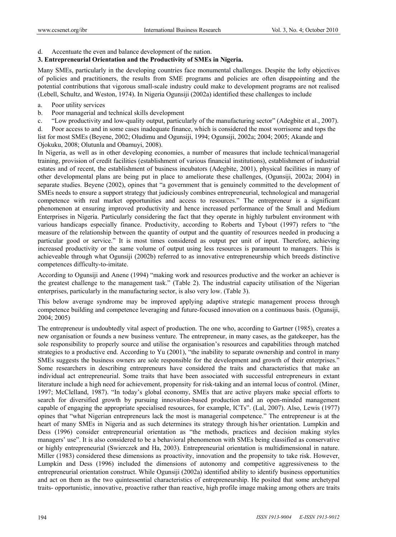Accentuate the even and balance development of the nation.

## **3. Entrepreneurial Orientation and the Productivity of SMEs in Nigeria.**

Many SMEs, particularly in the developing countries face monumental challenges. Despite the lofty objectives of policies and practitioners, the results from SME programs and policies are often disappointing and the potential contributions that vigorous small-scale industry could make to development programs are not realised (Lebell, Schultz, and Weston, 1974). In Nigeria Ogunsiji (2002a) identified these challenges to include

- a. Poor utility services
- b. Poor managerial and technical skills development
- c. "Low productivity and low-quality output, particularly of the manufacturing sector" (Adegbite et al., 2007).

d. Poor access to and in some cases inadequate finance, which is considered the most worrisome and tops the list for most SMEs (Beyene, 2002; Oludimu and Ogunsiji, 1994; Ogunsiji, 2002a; 2004; 2005; Akande and Ojokuku, 2008; Olutunla and Obamuyi, 2008).

In Nigeria, as well as in other developing economies, a number of measures that include technical/managerial training, provision of credit facilities (establishment of various financial institutions), establishment of industrial estates and of recent, the establishment of business incubators (Adegbite, 2001), physical facilities in many of other developmental plans are being put in place to ameliorate these challenges, (Ogunsiji, 2002a; 2004) in separate studies. Beyene (2002), opines that "a government that is genuinely committed to the development of SMEs needs to ensure a support strategy that judiciously combines entrepreneurial, technological and managerial competence with real market opportunities and access to resources." The entrepreneur is a significant phenomenon at ensuring improved productivity and hence increased performance of the Small and Medium Enterprises in Nigeria. Particularly considering the fact that they operate in highly turbulent environment with various handicaps especially finance. Productivity, according to Roberts and Tybout (1997) refers to "the measure of the relationship between the quantity of output and the quantity of resources needed in producing a particular good or service." It is most times considered as output per unit of input. Therefore, achieving increased productivity or the same volume of output using less resources is paramount to managers. This is achieveable through what Ogunsiji (2002b) referred to as innovative entrepreneurship which breeds distinctive competences difficulty-to-imitate.

According to Ogunsiji and Anene (1994) "making work and resources productive and the worker an achiever is the greatest challenge to the management task." (Table 2). The industrial capacity utilisation of the Nigerian enterprises, particularly in the manufacturing sector, is also very low. (Table 3).

This below average syndrome may be improved applying adaptive strategic management process through competence building and competence leveraging and future-focused innovation on a continuous basis. (Ogunsiji, 2004; 2005)

The entrepreneur is undoubtedly vital aspect of production. The one who, according to Gartner (1985), creates a new organisation or founds a new business venture. The entrepreneur, in many cases, as the gatekeeper, has the sole responsibility to properly source and utilise the organisation's resources and capabilities through matched strategies to a productive end. According to Yu (2001), "the inability to separate ownership and control in many SMEs suggests the business owners are sole responsible for the development and growth of their enterprises." Some researchers in describing entrepreneurs have considered the traits and characteristics that make an individual act entrepreneurial. Some traits that have been associated with successful entrepreneurs in extant literature include a high need for achievement, propensity for risk-taking and an internal locus of control. (Miner, 1997; McClelland, 1987). "In today's global economy, SMEs that are active players make special efforts to search for diversified growth by pursuing innovation-based production and an open-minded management capable of engaging the appropriate specialised resources, for example, ICTs". (Lal, 2007). Also, Lewis (1977) opines that "what Nigerian entrepreneurs lack the most is managerial competence." The entrepreneur is at the heart of many SMEs in Nigeria and as such determines its strategy through his/her orientation. Lumpkin and Dess (1996) consider entrepreneurial orientation as "the methods, practices and decision making styles managers' use". It is also considered to be a behavioral phenomenon with SMEs being classified as conservative or highly entrepreneurial (Swierczek and Ha, 2003). Entrepreneurial orientation is multidimensional in nature. Miller (1983) considered these dimensions as proactivity, innovation and the propensity to take risk. However, Lumpkin and Dess (1996) included the dimensions of autonomy and competitive aggressiveness to the entrepreneurial orientation construct. While Ogunsiji (2002a) identified ability to identify business opportunities and act on them as the two quintessential characteristics of entrepreneurship. He posited that some archetypal traits- opportunistic, innovative, proactive rather than reactive, high profile image making among others are traits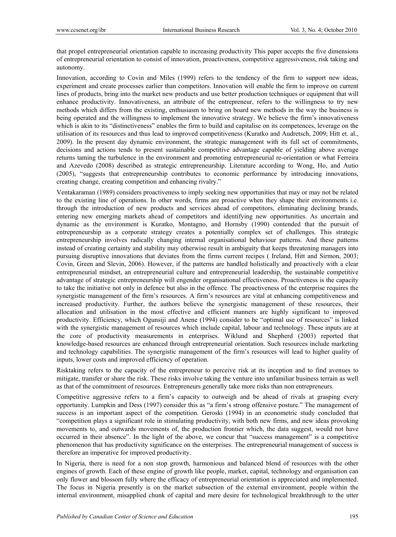that propel entrepreneurial orientation capable to increasing productivity This paper accepts the five dimensions of entrepreneurial orientation to consist of innovation, proactiveness, competitive aggressiveness, risk taking and autonomy.

Innovation, according to Covin and Miles (1999) refers to the tendency of the firm to support new ideas, experiment and create processes earlier than competitors. Innovation will enable the firm to improve on current lines of products, bring into the market new products and use better production techniques or equipment that will enhance productivity. Innovativeness, an attribute of the entrepreneur, refers to the willingness to try new methods which differs from the existing, enthusiasm to bring on board new methods in the way the business is being operated and the willingness to implement the innovative strategy. We believe the firm's innovativeness which is akin to its "distinctiveness" enables the firm to build and capitalise on its competences, leverage on the utilisation of its resources and thus lead to improved competitiveness (Kuratko and Audretsch, 2009; Hitt et. al., 2009). In the present day dynamic environment, the strategic management with its full set of commitments, decisions and actions tends to present sustainable competitive advantage capable of yielding above average returns taming the turbulence in the environment and promoting entrepreneurial re-orientation or what Ferreira and Azevedo (2008) described as strategic entrepreneurship. Literature according to Wong, Ho, and Autio (2005), "suggests that entrepreneurship contributes to economic performance by introducing innovations, creating change, creating competition and enhancing rivalry."

Ventakaraman (1989) considers proactiveness to imply seeking new opportunities that may or may not be related to the existing line of operations. In other words, firms are proactive when they shape their environments i.e. through the introduction of new products and services ahead of competitors, eliminating declining brands, entering new emerging markets ahead of competitors and identifying new opportunities. As uncertain and dynamic as the environment is Kuratko, Montagno, and Hornsby (1990) contended that the pursuit of entrepreneurship as a corporate strategy creates a potentially complex set of challenges. This strategic entrepreneurship involves radically changing internal organisational behaviour patterns. And these patterns instead of creating certainty and stability may otherwise result in ambiguity that keeps threatening managers into pursuing disruptive innovations that deviates from the firms current recipes ( Ireland, Hitt and Sirmon, 2003; Covin, Green and Slevin, 2006). However, if the patterns are handled holistically and proactively with a clear entrepreneurial mindset, an entrepreneurial culture and entrepreneurial leadership, the sustainable competitive advantage of strategic entrepreneurship will engender organisational effectiveness. Proactiveness is the capacity to take the initiative not only in defence but also in the offence. The proactiveness of the enterprise requires the synergistic management of the firm's resources. A firm's resources are vital at enhancing competitiveness and increased productivity. Further, the authors believe the synergistic management of these resources, their allocation and utilisation in the most effective and efficient manners are highly significant to improved productivity. Efficiency, which Ogunsiji and Anene (1994) consider to be "optimal use of resources" is linked with the synergistic management of resources which include capital, labour and technology. These inputs are at the core of productivity measurements in enterprises. Wiklund and Shepherd (2003) reported that knowledge-based resources are enhanced through entrepreneurial orientation. Such resources include marketing and technology capabilities. The synergistic management of the firm's resources will lead to higher quality of inputs, lower costs and improved efficiency of operation.

Risktaking refers to the capacity of the entrepreneur to perceive risk at its inception and to find avenues to mitigate, transfer or share the risk. These risks involve taking the venture into unfamiliar business terrain as well as that of the commitment of resources. Entrepreneurs generally take more risks than non entrepreneurs.

Competitive aggressive refers to a firm's capacity to outweigh and be ahead of rivals at grasping every opportunity. Lumpkin and Dess (1997) consider this as "a firm's strong offensive posture." The management of success is an important aspect of the competition. Geroski (1994) in an econometric study concluded that "competition plays a significant role in stimulating productivity, with both new firms, and new ideas provoking movements to, and outwards movements of, the production frontier which, the data suggest, would not have occurred in their absence". In the light of the above, we concur that "success management" is a competitive phenomenon that has productivity significance on the enterprises. The entrepreneurial management of success is therefore an imperative for improved productivity.

In Nigeria, there is need for a non stop growth, harmonious and balanced blend of resources with the other engines of growth. Each of these engine of growth like people, market, capital, technology and organisation can only flower and blossom fully where the efficacy of entrepreneurial orientation is appreciated and implemented. The focus in Nigeria presently is on the market subsection of the external environment, people within the internal environment, misapplied chunk of capital and mere desire for technological breakthrough to the utter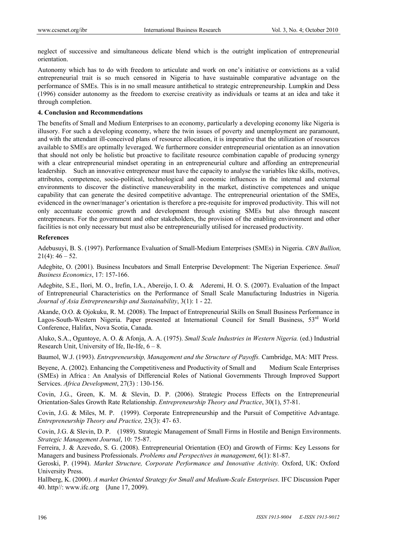neglect of successive and simultaneous delicate blend which is the outright implication of entrepreneurial orientation.

Autonomy which has to do with freedom to articulate and work on one's initiative or convictions as a valid entrepreneurial trait is so much censored in Nigeria to have sustainable comparative advantage on the performance of SMEs. This is in no small measure antithetical to strategic entrepreneurship. Lumpkin and Dess (1996) consider autonomy as the freedom to exercise creativity as individuals or teams at an idea and take it through completion.

## **4. Conclusion and Recommendations**

The benefits of Small and Medium Enterprises to an economy, particularly a developing economy like Nigeria is illusory. For such a developing economy, where the twin issues of poverty and unemployment are paramount, and with the attendant ill-conceived plans of resource allocation, it is imperative that the utilization of resources available to SMEs are optimally leveraged. We furthermore consider entrepreneurial orientation as an innovation that should not only be holistic but proactive to facilitate resource combination capable of producing synergy with a clear entrepreneurial mindset operating in an entrepreneurial culture and affording an entrepreneurial leadership. Such an innovative entrepreneur must have the capacity to analyse the variables like skills, motives, attributes, competence, socio-political, technological and economic influences in the internal and external environments to discover the distinctive maneuverability in the market, distinctive competences and unique capability that can generate the desired competitive advantage. The entrepreneurial orientation of the SMEs, evidenced in the owner/manager's orientation is therefore a pre-requisite for improved productivity. This will not only accentuate economic growth and development through existing SMEs but also through nascent entrepreneurs. For the government and other stakeholders, the provision of the enabling environment and other facilities is not only necessary but must also be entrepreneurially utilised for increased productivity.

#### **References**

Adebusuyi, B. S. (1997). Performance Evaluation of Small-Medium Enterprises (SMEs) in Nigeria. *CBN Bullion,*  $21(4): 46 - 52.$ 

Adegbite, O. (2001). Business Incubators and Small Enterprise Development: The Nigerian Experience. *Small Business Economics*, 17: 157-166.

Adegbite, S.E., Ilori, M. O., Irefin, I.A., Abereijo, I. O. & Aderemi, H. O. S. (2007). Evaluation of the Impact of Entrepreneurial Characteristics on the Performance of Small Scale Manufacturing Industries in Nigeria*. Journal of Asia Entrepreneurship and Sustainability*, 3(1): 1 - 22.

Akande, O.O. & Ojokuku, R. M. (2008). The Impact of Entrepreneurial Skills on Small Business Performance in Lagos-South-Western Nigeria. Paper presented at International Council for Small Business, 53<sup>rd</sup> World Conference, Halifax, Nova Scotia, Canada.

Aluko, S.A., Oguntoye, A. O. & Afonja, A. A. (1975). *Small Scale Industries in Western Nigeria.* (ed.) Industrial Research Unit, University of Ife, Ile-Ife,  $6 - 8$ .

Baumol, W.J. (1993). *Entrepreneurship, Management and the Structure of Payoffs.* Cambridge, MA: MIT Press.

Beyene, A. (2002). Enhancing the Competitiveness and Productivity of Small and Medium Scale Enterprises (SMEs) in Africa : An Analysis of Differencial Roles of National Governments Through Improved Support Services. *Africa Development*, 27(3) : 130-156.

Covin, J.G., Green, K. M. & Slevin, D. P. (2006). Strategic Process Effects on the Entrepreneurial Orientation-Sales Growth Rate Relationship. *Entrepreneurship Theory and Practice*, 30(1), 57-81.

Covin, J.G. & Miles, M. P. (1999). Corporate Entrepreneurship and the Pursuit of Competitive Advantage. *Entrepreneurship Theory and Practice,* 23(3): 47- 63.

Covin, J.G. & Slevin, D. P. (1989). Strategic Management of Small Firms in Hostile and Benign Environments. *Strategic Management Journal*, 10: 75-87.

Ferreira, J. & Azevedo, S. G. (2008). Entrepreneurial Orientation (EO) and Growth of Firms: Key Lessons for Managers and business Professionals. *Problems and Perspectives in management*, 6(1): 81-87.

Geroski, P. (1994). *Market Structure, Corporate Performance and Innovative Activity.* Oxford, UK: Oxford University Press.

Hallberg, K. (2000). *A market Oriented Strategy for Small and Medium-Scale Enterprises*. IFC Discussion Paper 40. http//: www.ifc.org (June 17, 2009).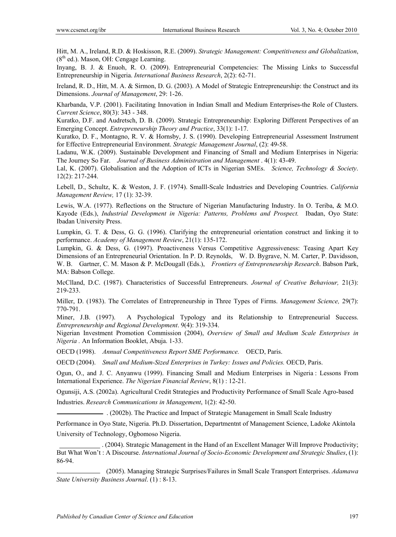Hitt, M. A., Ireland, R.D. & Hoskisson, R.E. (2009). *Strategic Management: Competitiveness and Globalization*,  $(8<sup>th</sup>$  ed.). Mason, OH: Cengage Learning.

Inyang, B. J. & Enuoh, R. O. (2009). Entrepreneurial Competencies: The Missing Links to Successful Entrepreneurship in Nigeria. *International Business Research*, 2(2): 62-71.

Ireland, R. D., Hitt, M. A. & Sirmon, D. G. (2003). A Model of Strategic Entrepreneurship: the Construct and its Dimensions. *Journal of Management*, 29: 1-26.

Kharbanda, V.P. (2001). Facilitating Innovation in Indian Small and Medium Enterprises-the Role of Clusters. *Current Science*, 80(3): 343 - 348.

Kuratko, D.F. and Audretsch, D. B. (2009). Strategic Entrepreneurship: Exploring Different Perspectives of an Emerging Concept. *Entrepreneurship Theory and Practice*, 33(1): 1-17.

Kuratko, D. F., Montagno, R. V. & Hornsby, J. S. (1990). Developing Entrepreneurial Assessment Instrument for Effective Entrepreneurial Environment. *Strategic Management Journal*, (2): 49-58.

Ladanu, W.K. (2009). Sustainable Development and Financing of Small and Medium Enterprises in Nigeria: The Journey So Far. *Journal of Business Administration and Management* . 4(1): 43-49.

Lal, K. (2007). Globalisation and the Adoption of ICTs in Nigerian SMEs. *Science, Technology & Society*. 12(2): 217-244.

Lebell, D., Schultz, K. & Weston, J. F. (1974). Smalll-Scale Industries and Developing Countries. *California Management Review,* 17 (1): 32-39.

Lewis, W.A. (1977). Reflections on the Structure of Nigerian Manufacturing Industry. In O. Teriba, & M.O. Kayode (Eds.), *Industrial Development in Nigeria: Patterns, Problems and Prospect.* Ibadan, Oyo State: Ibadan University Press.

Lumpkin, G. T. & Dess, G. G. (1996). Clarifying the entrepreneurial orientation construct and linking it to performance. *Academy of Management Review*, 21(1): 135-172.

Lumpkin, G. & Dess, G. (1997). Proactiveness Versus Competitive Aggressiveness: Teasing Apart Key Dimensions of an Entrepreneurial Orientation. In P. D. Reynolds, W. D. Bygrave, N. M. Carter, P. Davidsson, W. B. Gartner, C. M. Mason & P. McDougall (Eds.), *Frontiers of Entrepreneurship Research*. Babson Park, MA: Babson College.

McClland, D.C. (1987). Characteristics of Successful Entrepreneurs. *Journal of Creative Behaviour,* 21(3): 219-233.

Miller, D. (1983). The Correlates of Entrepreneurship in Three Types of Firms. *Management Science,* 29(7): 770-791.

Miner, J.B. (1997). A Psychological Typology and its Relationship to Entrepreneurial Success. *Entrepreneurship and Regional Development*. 9(4): 319-334.

Nigerian Investment Promotion Commission (2004), *Overview of Small and Medium Scale Enterprises in Nigeria .* An Information Booklet, Abuja. 1-33.

OECD (1998). *Annual Competitiveness Report SME Performance.* OECD, Paris.

OECD (2004). *Small and Medium-Sized Enterprises in Turkey: Issues and Policies.* OECD, Paris.

Ogun, O., and J. C. Anyanwu (1999). Financing Small and Medium Enterprises in Nigeria : Lessons From International Experience. *The Nigerian Financial Review*, 8(1) : 12-21.

Ogunsiji, A.S. (2002a). Agricultural Credit Strategies and Productivity Performance of Small Scale Agro-based Industries. *Research Communications in Management*, 1(2): 42-50.

. (2002b). The Practice and Impact of Strategic Management in Small Scale Industry

Performance in Oyo State, Nigeria. Ph.D. Dissertation, Departmentnt of Management Science, Ladoke Akintola University of Technology, Ogbomoso Nigeria.

 . (2004). Strategic Management in the Hand of an Excellent Manager Will Improve Productivity; But What Won't : A Discourse. *International Journal of Socio-Economic Development and Strategic Studies*, (1): 86-94.

. (2005). Managing Strategic Surprises/Failures in Small Scale Transport Enterprises. *Adamawa State University Business Journal*. (1) : 8-13.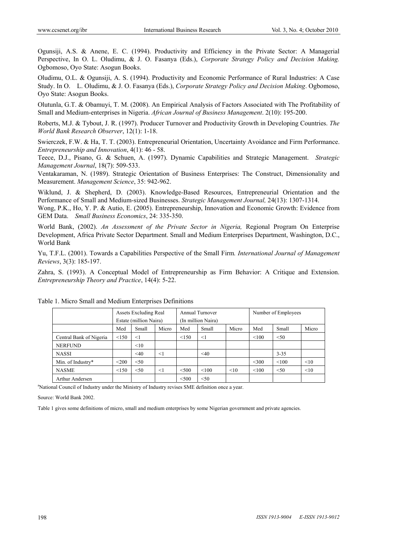Ogunsiji, A.S. & Anene, E. C. (1994). Productivity and Efficiency in the Private Sector: A Managerial Perspective, In O. L. Oludimu, & J. O. Fasanya (Eds.), *Corporate Strategy Policy and Decision Making.*  Ogbomoso, Oyo State: Asogun Books.

Oludimu, O.L. & Ogunsiji, A. S. (1994). Productivity and Economic Performance of Rural Industries: A Case Study. In O. L. Oludimu, & J. O. Fasanya (Eds.), *Corporate Strategy Policy and Decision Making*. Ogbomoso, Oyo State: Asogun Books.

Olutunla, G.T. & Obamuyi, T. M. (2008). An Empirical Analysis of Factors Associated with The Profitability of Small and Medium-enterprises in Nigeria. *African Journal of Business Management*. 2(10): 195-200.

Roberts, M.J. & Tybout, J. R. (1997). Producer Turnover and Productivity Growth in Developing Countries. *The World Bank Research Observer*, 12(1): 1-18.

Swierczek, F.W. & Ha, T. T. (2003). Entrepreneurial Orientation, Uncertainty Avoidance and Firm Performance. *Entrepreneurship and Innovation*, 4(1): 46 - 58.

Teece, D.J., Pisano, G. & Schuen, A. (1997). Dynamic Capabilities and Strategic Management. *Strategic Management Journal*, 18(7): 509-533.

Ventakaraman, N. (1989). Strategic Orientation of Business Enterprises: The Construct, Dimensionality and Measurement. *Management Science*, 35: 942-962.

Wiklund, J. & Shepherd, D. (2003). Knowledge-Based Resources, Entrepreneurial Orientation and the Performance of Small and Medium-sized Businesses. *Strategic Management Journal,* 24(13): 1307-1314.

Wong, P.K., Ho, Y. P. & Autio, E. (2005). Entrepreneurship, Innovation and Economic Growth: Evidence from GEM Data. *Small Business Economics*, 24: 335-350.

World Bank, (2002). *An Assessment of the Private Sector in Nigeria,* Regional Program On Enterprise Development, Africa Private Sector Department. Small and Medium Enterprises Department, Washington, D.C., World Bank

Yu, T.F.L. (2001). Towards a Capabilities Perspective of the Small Firm*. International Journal of Management Reviews*, 3(3): 185-197.

Zahra, S. (1993). A Conceptual Model of Entrepreneurship as Firm Behavior: A Critique and Extension. *Entrepreneurship Theory and Practice*, 14(4): 5-22.

|                         | Assets Excluding Real<br>Estate (million Naira) |           |       | Annual Turnover<br>(In million Naira) |        |       | Number of Employees |          |       |
|-------------------------|-------------------------------------------------|-----------|-------|---------------------------------------|--------|-------|---------------------|----------|-------|
|                         | Med                                             | Small     | Micro | Med                                   | Small  | Micro | Med                 | Small    | Micro |
| Central Bank of Nigeria | < 150                                           | $<$ 1     |       | < 150                                 | $<$ 1  |       | < 100               | < 50     |       |
| <b>NERFUND</b>          |                                                 | <10       |       |                                       |        |       |                     |          |       |
| <b>NASSI</b>            |                                                 | $\leq 40$ | <1    |                                       | $<$ 40 |       |                     | $3 - 35$ |       |
| Min. of Industry*       | $200$                                           | < 50      |       |                                       |        |       | $<$ 300             | < 100    | <10   |
| <b>NASME</b>            | < 150                                           | < 50      | <1    | < 500                                 | < 100  | < 10  | < 100               | < 50     | <10   |
| Arthur Andersen         |                                                 |           |       | $<$ 500                               | < 50   |       |                     |          |       |

Table 1. Micro Small and Medium Enterprises Definitions

<sup>a</sup>National Council of Industry under the Ministry of Industry revises SME definition once a year.

Source: World Bank 2002.

Table 1 gives some definitions of micro, small and medium enterprises by some Nigerian government and private agencies.